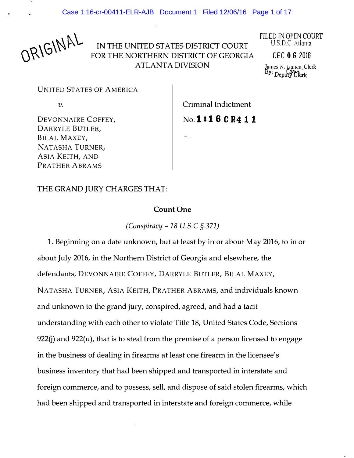ORIGINAL

IN THE UNITED STATES DISTRICT COURT FOR THE NORTHERN DISTRICT OF GEORGIA ATLANTA DIVISION

FILED TN OPEN COURT U.S.D.C. Atlanta

DEC 0 6 2016

James N. *Janten*, Clerk <sup>Dy</sup>: Deputy Clerk

**UNITED STATES OF AMERICA** 

 $\overline{v}$ .

Criminal Indictment

No. **1:16 C R 4 1 1** 

DEVONNAIRE COFFEY, DARRYLE BUTLER, BILAL MAXEY, NATASHA TURNER, ASIA KEITH, AND PRATHER ABRAMS

THE GRAND JURY CHARGES THAT:

## Count One

(Conspiracy -18 U.S.C § 371)

1. Beginning on a date unknown, but at least by in or about May 2016, to in or about July 2016, in the Northern District of Georgia and elsewhere, the defendants, DEVONNAIRE COFFEY, DARRYLE BUTLER, BILAL MAXEY, NATASHA TURNER, ASIA KEITH, PRATHER ABRAMS, and individuals known and unknown to the grand jury, conspired, agreed, and had a tacit understanding with each other to violate Title 18, United States Code, Sections  $922(i)$  and  $922(u)$ , that is to steal from the premise of a person licensed to engage in the business of dealing in firearms at least one firearm in the licensee's business inventory that had been shipped and transported in interstate and foreign commerce, and to possess, sell, and dispose of said stolen firearms, which had been shipped and transported in interstate and foreign commerce, while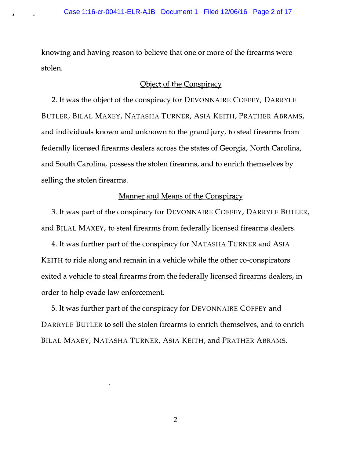knowing and having reason to believe that one or more of the firearms were stolen.

.i

#### Object of the Conspiracy

2. It was the object of the conspiracy for DEVONNAIRE COFFEY, DARRYLE BUTLER, BILAL MAXEY, NATASHA TURNER, ASIA KEITH, PRATHER ABRAMS, and individuals known and unknown to the grand jury, to steal firearms from federally licensed firearms dealers across the states of Georgia, North Carolina, and South Carolina, possess the stolen firearms, and to enrich themselves by selling the stolen firearms.

# Manner and Means of the Conspiracy

3. It was part of the conspiracy for DEVONNAIRE COFFEY, DARRYLE BUTLER, and BILAL MAXEY, to steal firearms from federally licensed firearms dealers.

4. It was further part of the conspiracy for NATASHA TURNER and ASIA KEITH to ride along and remain in a vehicle while the other co-conspirators exited a vehicle to steal firearms from the federally licensed firearms dealers, in order to help evade law enforcement.

5. It was further part of the conspiracy for DEVONNAIRE COFFEY and DARRYLE BUTLER to sell the stolen firearms to enrich themselves, and to enrich BILAL MAXEY, NATASHA TURNER, ASIA KEITH, and PRATHER ABRAMS.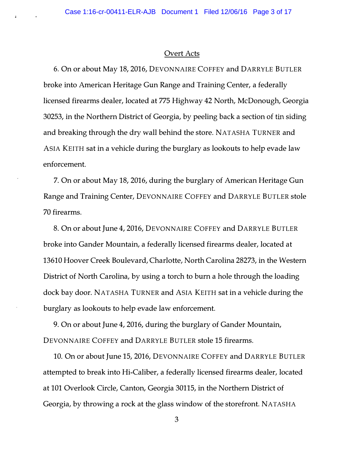#### Overt Acts

6. On or about May 18, 2016, DEVONNAIRE COFFEY and DARRYLE BUTLER broke into American Heritage Gun Range and Training Center, a federally licensed firearms dealer, located at 775 Highway 42 North, McDonough, Georgia 30253, in the Northern District of Georgia, by peeling back a section of tin siding and breaking through the dry wall behind the store. NAT ASHA TURNER and ASIA KEITH sat in a vehicle during the burglary as lookouts to help evade law enforcement.

7. On or about May 18, 2016, during the burglary of American Heritage Gun Range and Training Center, DEVONNAIRE COFFEY and DARRYLE BUTLER stole 70 firearms.

8. On or about June 4, 2016, DEVONNAIRE COFFEY and DARRYLE BUTLER broke into Gander Mountain, a federally licensed firearms dealer, located at 13610 Hoover Creek Boulevard, Charlotte, North Carolina 28273, in the Western District of North Carolina, by using a torch to burn a hole through the loading dock bay door. NAT ASHA TURNER and ASIA KEITH sat in a vehicle during the burglary as lookouts to help evade law enforcement.

9. On or about June 4, 2016, during the burglary of Gander Mountain, DEVONNAIRE COFFEY and DARRYLE BUTLER stole 15 firearms.

10. On or about June 15, 2016, DEVONNAIRE COFFEY and DARRYLE BUTLER attempted to break into Hi-Caliber, a federally licensed firearms dealer, located at 101 Overlook Circle, Canton, Georgia 30115, in the Northern District of Georgia, by throwing a rock at the glass window of the storefront. NATASHA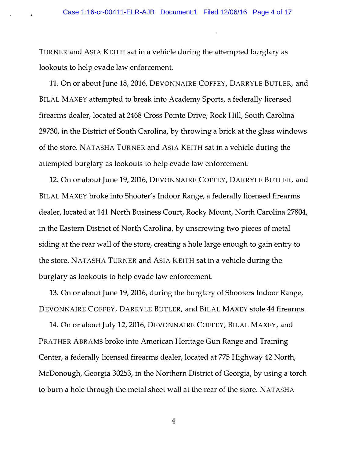TURNER and ASIA KEITH sat in a vehicle during the attempted burglary as lookouts to help evade law enforcement.

11. On or about June 18, 2016, DEVONNAIRE COFFEY, DARRYLE BUTLER, and BILAL MAXEY attempted to break into Academy Sports, a federally licensed firearms dealer, located at 2468 Cross Pointe Drive, Rock Hill, South Carolina 29730, in the District of South Carolina, by throwing a brick at the glass windows of the store. NATASHA TURNER and ASIA KEITH sat in a vehicle during the attempted burglary as lookouts to help evade law enforcement.

12. On or about June 19, 2016, DEVONNAIRE COFFEY, DARRYLE BUTLER, and BILAL MAXEY broke into Shooter's Indoor Range, a federally licensed firearms dealer, located at 141 North Business Court, Rocky Mount, North Carolina 27804, in the Eastern District of North Carolina, by unscrewing two pieces of metal siding at the rear wall of the store, creating a hole large enough to gain entry to the store. NAT ASHA TURNER and ASIA KEITH sat in a vehicle during the burglary as lookouts to help evade law enforcement.

13. On or about June 19, 2016, during the burglary of Shooters Indoor Range, DEVONNAIRE COFFEY, DARRYLE BUTLER, and BILAL MAXEY stole 44 firearms.

14. On or about July 12, 2016, DEVONNAIRE COFFEY, BILAL MAXEY, and PRATHER ABRAMS broke into American Heritage Gun Range and Training Center, a federally licensed firearms dealer, located at 775 Highway 42 North, McDonough, Georgia 30253, in the Northern District of Georgia, by using a torch to burn a hole through the metal sheet wall at the rear of the store. NAT ASHA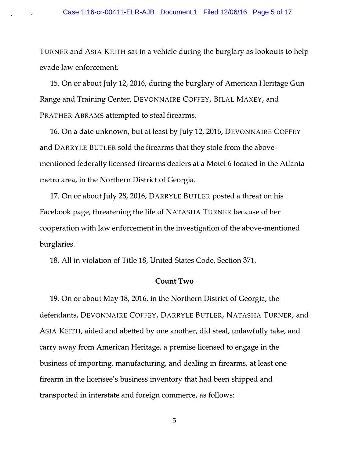## Case 1:16-cr-00411-ELR-AJB Document 1 Filed 12/06/16 Page 5 of 17

TURNER and ASIA KEITH sat in a vehicle during the burglary as lookouts to help evade law enforcement.

15. On or about July 12, 2016, during the burglary of American Heritage Gun Range and Training Center, DEVONNAIRE COFFEY, BILAL MAXEY, and PRATHER ABRAMS attempted to steal firearms.

16. On a date unknown, but at least by July 12, 2016, DEVONNAIRE COFFEY and DARRYLE BUTLER sold the firearms that they stole from the abovementioned federally licensed firearms dealers at a Motel 6 located in the Atlanta metro area, in the Northern District of Georgia.

17. On or about July 28, 2016, DARRYLE BUTLER posted a threat on his Facebook page, threatening the life of NATASHA TURNER because of her cooperation with law enforcement in the investigation of the above-mentioned burglaries.

18. All in violation of Title 18, United States Code, Section 371.

#### Count Two

19. On or about May 18, 2016, in the Northern District of Georgia, the defendants, DEVONNAIRE COFFEY, DARRYLE BUTLER, NATASHA TURNER, and ASIA KEITH, aided and abetted by one another, did steal, unlawfully take, and carry away from American Heritage, a premise licensed to engage in the business of importing, manufacturing, and dealing in firearms, at least one firearm in the licensee's business inventory that had been shipped and transported in interstate and foreign commerce, as follows: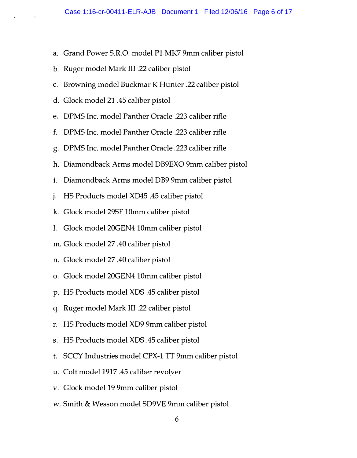- a. Grand Power S.R.O. model Pl MK7 9mm caliber pistol
- b. Ruger model Mark III .22 caliber pistol
- c. Browning model Buckmar K Hunter .22 caliber pistol
- d. Glock model 21 .45 caliber pistol
- e. DPMS Inc. model Panther Oracle .223 caliber rifle
- £. DPMS Inc. model Panther Oracle .223 caliber rifle
- g. DPMS Inc. model Panther Oracle .223 caliber rifle
- h. Diamondback Arms model DB9EXO 9mm caliber pistol
- 1. Diamondback Arms model DB9 9mm caliber pistol
- j. HS Products model XD45 .45 caliber pistol
- k. Glock model 29SF lOmm caliber pistol
- I. Glock model 20GEN4 lOmm caliber pistol
- m. Glock model 27 .40 caliber pistol
- n. Glock model 27 .40 caliber pistol
- o. Glock model 20GEN4 lOmm caliber pistol
- p. HS Products model XDS .45 caliber pistol
- q. Ruger model Mark III .22 caliber pistol
- r. HS Products model XD9 9mm caliber pistol
- s. HS Products model XDS .45 caliber pistol
- t. SCCY Industries model CPX-1 TT 9mm caliber pistol
- u. Colt model 1917.45 caliber revolver
- v. Glock model 19 9mm caliber pistol
- w. Smith & Wesson model SD9VE 9mm caliber pistol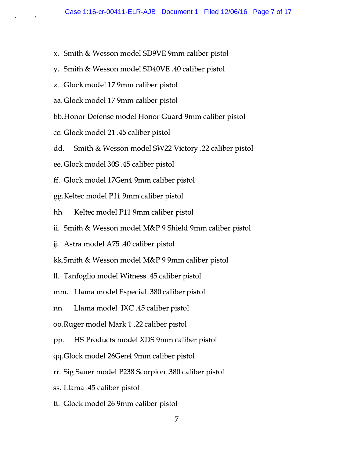- x. Smith & Wesson model SD9VE 9mm caliber pistol
- y. Smith & Wesson model SD40VE .40 caliber pistol
- z. Glock model 17 9mm caliber pistol
- aa. Glock model 17 9mm caliber pistol
- bb.Honor Defense model Honor Guard 9mm caliber pistol
- cc. Glock model 21 .45 caliber pistol
- dd. Smith & Wesson model SW22 Victory .22 caliber pistol
- ee. Glock model 30S .45 caliber pistol
- ff. Glock model 17Gen4 9mm caliber pistol
- gg.Keltec model Pll 9mm caliber pistol
- hh. Keltec model P11 9mm caliber pistol
- ii. Smith & Wesson model M&P 9 Shield 9mm caliber pistol
- jj. Astra model A75 .40 caliber pistol
- kk.Smith & Wesson model M&P 9 9mm caliber pistol
- 11. Tanfoglio model Witness .45 caliber pistol
- mm. Llama model Especial .380 caliber pistol
- nn. Llama model IXC .45 caliber pistol
- oo.Ruger model Mark 1 .22 caliber pistol
- pp. HS Products model XDS 9mm caliber pistol
- qq.Glock model 26Gen4 9mm caliber pistol
- rr. Sig Sauer model P238 Scorpion .380 caliber pistol
- ss. Llama .45 caliber pistol
- tt. Glock model 26 9mm caliber pistol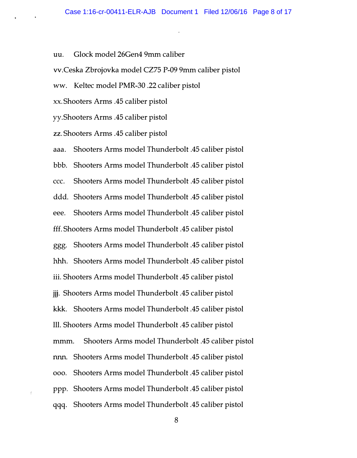uu. Glock model 26Gen4 9mm caliber

vv.Ceska Zbrojovka model CZ75 P-09 9mm caliber pistol

ww. Keltec model PMR-30 .22 caliber pistol

xx. Shooters Arms .45 caliber pistol

yy.Shooters Arms .45 caliber pistol

zz. Shooters Arms .45 caliber pistol

aaa. Shooters Arms model Thunderbolt .45 caliber pistol bbb. Shooters Arms model Thunderbolt .45 caliber pistol ccc. Shooters Arms model Thunderbolt .45 caliber pistol ddd. Shooters Arms model Thunderbolt .45 caliber pistol eee. Shooters Arms model Thunderbolt .45 caliber pistol fff. Shooters Arms model Thunderbolt .45 caliber pistol ggg. Shooters Arms model Thunderbolt .45 caliber pistol hhh. Shooters Arms model Thunderbolt .45 caliber pistol iii. Shooters Arms model Thunderbolt .45 caliber pistol jjj. Shooters Arms model Thunderbolt .45 caliber pistol kkk. Shooters Arms model Thunderbolt .45 caliber pistol lll. Shooters Arms model Thunderbolt .45 caliber pistol mmm. Shooters Arms model Thunderbolt .45 caliber pistol nnn. Shooters Arms model Thunderbolt .45 caliber pistol ooo. Shooters Arms model Thunderbolt .45 caliber pistol ppp. Shooters Arms model Thunderbolt .45 caliber pistol qqq. Shooters Arms model Thunderbolt .45 caliber pistol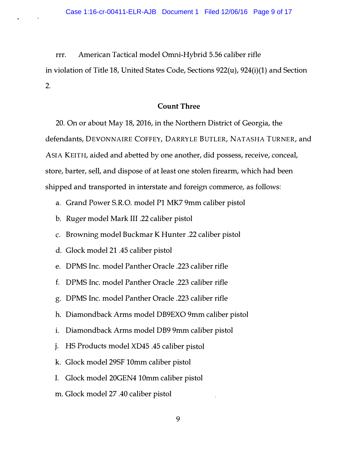rrr. American Tactical model Omni-Hybrid 5.56 caliber rifle

in violation of Title 18, United States Code, Sections 922(u), 924(i)(1) and Section 2.

## Count Three

20. On or about May 18, 2016, in the Northern District of Georgia, the defendants, DEVONNAIRE COFFEY, DARRYLE BUTLER, NATASHA TURNER, and ASIA KEITH, aided and abetted by one another, did possess, receive, conceal, store, barter, sell, and dispose of at least one stolen firearm, which had been shipped and transported in interstate and foreign commerce, as follows:

a. Grand Power S.R.O. model Pl MK7 9mm caliber pistol

- b. Ruger model Mark III .22 caliber pistol
- c. Browning model Buckmar K Hunter .22 caliber pistol
- d. Glock model 21 .45 caliber pistol
- e. DPMS Inc. model Panther Oracle .223 caliber rifle
- f. DPMS Inc. model Panther Oracle .223 caliber rifle
- g. DPMS Inc. model Panther Oracle .223 caliber rifle
- h. Diamondback Arms model DB9EXO 9mm caliber pistol
- i. Diamondback Arms model DB9 9mm caliber pistol
- J· HS Products model XD45 .45 caliber pistol
- k. Glock model 29SF 10mm caliber pistol
- I. Glock model 20GEN4 10mm caliber pistol
- m. Glock model 27 .40 caliber pistol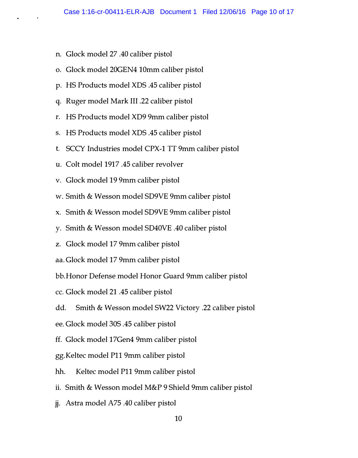- n. Glock model 27 .40 caliber pistol
- o. Glock model 20GEN4 10mm caliber pistol
- p. HS Products model XDS .45 caliber pistol
- q. Ruger model Mark III .22 caliber pistol
- r. HS Products model XD9 9mm caliber pistol
- s. HS Products model XDS .45 caliber pistol
- t. SCCY Industries model CPX-1TT 9mm caliber pistol
- u. Colt model 1917 .45 caliber revolver
- v. Glock model 19 9mm caliber pistol
- w. Smith & Wesson model SD9VE 9mm caliber pistol
- x. Smith & Wesson model SD9VE 9mm caliber pistol
- y. Smith & Wesson model SD40VE .40 caliber pistol
- z. Glock model 17 9mm caliber pistol
- aa. Glock model 17 9mm caliber pistol
- bb.Honor Defense model Honor Guard 9mm caliber pistol
- cc. Glock model 21 .45 caliber pistol
- dd. Smith & Wesson model SW22 Victory .22 caliber pistol
- ee. Glock model 30S .45 caliber pistol
- ff. Glock model 17Gen4 9mm caliber pistol
- gg.Keltec model Pll 9mm caliber pistol
- hh. Keltec model P11 9mm caliber pistol
- ii. Smith & Wesson model M&P 9 Shield 9mm caliber pistol
- jj. Astra model A75 .40 caliber pistol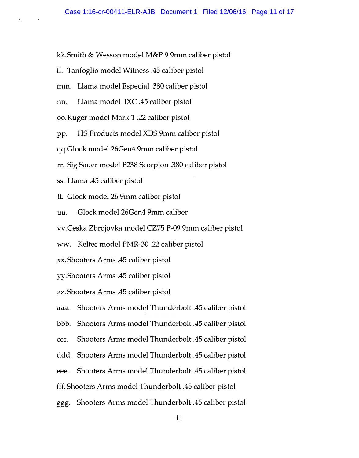kk.Smith & Wesson model M&P 9 9mm caliber pistol

- 11. Tanfoglio model Witness .45 caliber pistol
- mm. Llama model Especial .380 caliber pistol
- nn. Llama model IXC .45 caliber pistol
- oo. Ruger model Mark 1 .22 caliber pistol
- pp. HS Products model XDS 9mm caliber pistol
- qq.Glock model 26Gen4 9mm caliber pistol
- rr. Sig Sauer model P238 Scorpion .380 caliber pistol
- ss. Llama .45 caliber pistol
- tt. Glock model 26 9mm caliber pistol
- uu. Glock model 26Gen4 9mm caliber
- vv.Ceska Zbrojovka model CZ75 P-09 9mm caliber pistol
- ww. Keltec model PMR-30 .22 caliber pistol
- xx. Shooters Arms .45 caliber pistol
- yy .Shooters Arms .45 caliber pistol
- zz. Shooters Arms .45 caliber pistol
- aaa. Shooters Arms model Thunderbolt .45 caliber pistol
- bbb. Shooters Arms model Thunderbolt .45 caliber pistol
- ccc. Shooters Arms model Thunderbolt .45 caliber pistol
- ddd. Shooters Arms model Thunderbolt .45 caliber pistol
- eee. Shooters Arms model Thunderbolt .45 caliber pistol
- fff. Shooters Arms model Thunderbolt .45 caliber pistol
- ggg. Shooters Arms model Thunderbolt .45 caliber pistol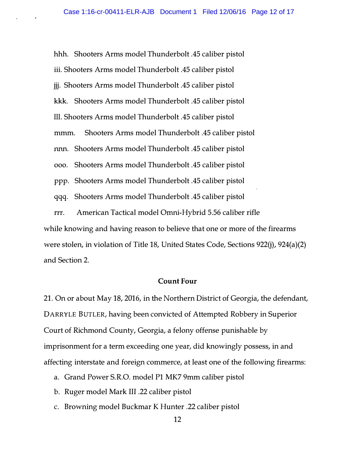hhh. Shooters Arms model Thunderbolt .45 caliber pistol iii. Shooters Arms model Thunderbolt .45 caliber pistol jjj. Shooters Arms model Thunderbolt .45 caliber pistol kkk. Shooters Arms model Thunderbolt .45 caliber pistol 111. Shooters Arms model Thunderbolt .45 caliber pistol mmm. Shooters Arms model Thunderbolt .45 caliber pistol nnn. Shooters Arms model Thunderbolt .45 caliber pistol ooo. Shooters Arms model Thunderbolt .45 caliber pistol ppp. Shooters Arms model Thunderbolt .45 caliber pistol qqq. Shooters Arms model Thunderbolt .45 caliber pistol

rrr. American Tactical model Omni-Hybrid 5.56 caliber rifle while knowing and having reason to believe that one or more of the firearms were stolen, in violation of Title 18, United States Code, Sections  $922(i)$ ,  $924(a)(2)$ and Section 2.

#### Count Four

21. On or about May 18, 2016, in the Northern District of Georgia, the defendant, DARRYLE BUTLER, having been convicted of Attempted Robbery in Superior Court of Richmond County, Georgia, a felony offense punishable by imprisonment for a term exceeding one year, did knowingly possess, in and affecting interstate and foreign commerce, at least one of the following firearms:

- a. Grand Power S.R.O. model Pl MK7 9mm caliber pistol
- b. Ruger model Mark III .22 caliber pistol
- c. Browning model Buckmar K Hunter .22 caliber pistol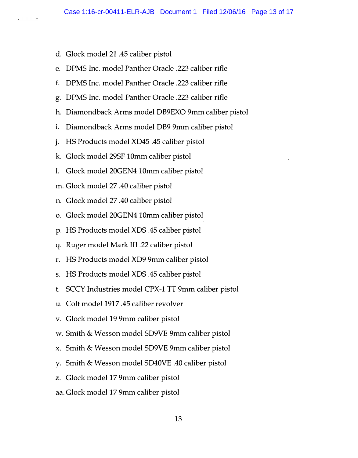- d. Glock model 21 .45 caliber pistol
- e. DPMS Inc. model Panther Oracle .223 caliber rifle
- £. DPMS Inc. model Panther Oracle .223 caliber rifle
- g. DPMS Inc. model Panther Oracle .223 caliber rifle
- h. Diamondback Arms model DB9EXO 9mm caliber pistol
- i. Diamondback Arms model DB9 9mm caliber pistol
- j. HS Products model XD45 .45 caliber pistol
- k. Glock model 29SF 10mm caliber pistol
- I. Glock model 20GEN4 10mm caliber pistol
- m. Glock model 27 .40 caliber pistol
- n. Glock model 27 .40 caliber pistol
- o. Glock model 20GEN4 10mm caliber pistol
- p. HS Products model XDS .45 caliber pistol
- q. Ruger model Mark III .22 caliber pistol
- r. HS Products model XD9 9mm caliber pistol
- s. HS Products model XDS .45 caliber pistol
- t. SCCY Industries model CPX-1 TT 9mm caliber pistol
- u. Colt model 1917 .45 caliber revolver
- v. Glock model 19 9mm caliber pistol
- w. Smith & Wesson model SD9VE 9mm caliber pistol
- x. Smith & Wesson model SD9VE 9mm caliber pistol
- y. Smith & Wesson model SD40VE .40 caliber pistol
- z. Glock model 17 9mm caliber pistol
- aa. Glock model 17 9mm caliber pistol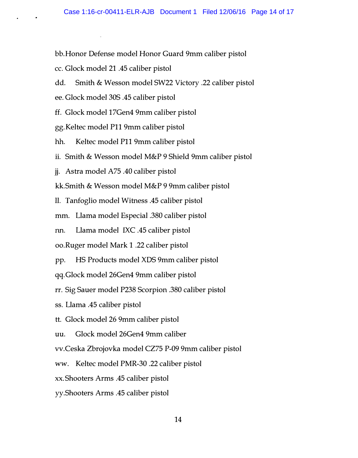- bb.Honor Defense model Honor Guard 9mm caliber pistol
- cc. Glock model 21 .45 caliber pistol
- dd. Smith & Wesson model SW22 Victory .22 caliber pistol
- ee. Glock model 30S .45 caliber pistol
- ff. Glock model 17Gen4 9mm caliber pistol
- gg.Keltec model Pll 9mm caliber pistol
- hh. Keltec model P11 9mm caliber pistol
- ii. Smith & Wesson model M&P 9 Shield 9mm caliber pistol
- jj. Astra model A75 .40 caliber pistol
- kk.Smith & Wesson model M&P 9 9mm caliber pistol
- II. Tanfoglio model Witness .45 caliber pistol
- mm. Llama model Especial .380 caliber pistol
- nn. Llama model IXC .45 caliber pistol
- oo.Ruger model Mark 1 .22 caliber pistol
- pp. HS Products model XDS 9mm caliber pistol
- qq.Glock model 26Gen4 9mm caliber pistol
- rr. Sig Sauer model P238 Scorpion .380 caliber pistol
- ss. Llama .45 caliber pistol
- tt. Glock model 26 9mm caliber pistol
- uu. Glock model 26Gen4 9mm caliber
- vv.Ceska Zbrojovka model CZ75 P-09 9mm caliber pistol
- ww. Keltec model PMR-30 .22 caliber pistol
- xx. Shooters Arms .45 caliber pistol
- yy.Shooters Arms .45 caliber pistol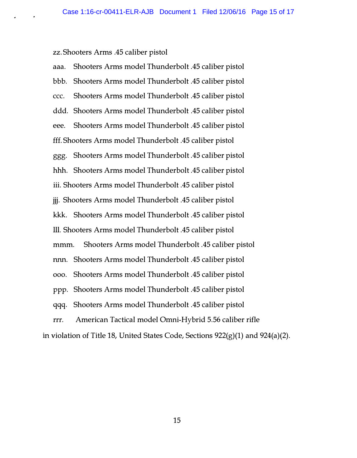zz. Shooters Arms .45 caliber pistol

aaa. Shooters Arms model Thunderbolt .45 caliber pistol bbb. Shooters Arms model Thunderbolt .45 caliber pistol ccc. Shooters Arms model Thunderbolt .45 caliber pistol ddd. Shooters Arms model Thunderbolt .45 caliber pistol eee. Shooters Arms model Thunderbolt .45 caliber pistol fff. Shooters Arms model Thunderbolt .45 caliber pistol ggg. Shooters Arms model Thunderbolt .45 caliber pistol hhh. Shooters Arms model Thunderbolt .45 caliber pistol iii. Shooters Arms model Thunderbolt .45 caliber pistol jjj. Shooters Arms model Thunderbolt .45 caliber pistol kkk. Shooters Arms model Thunderbolt .45 caliber pistol 111. Shooters Arms model Thunderbolt .45 caliber pistol mmm. Shooters Arms model Thunderbolt .45 caliber pistol nnn. Shooters Arms model Thunderbolt .45 caliber pistol ooo. Shooters Arms model Thunderbolt .45 caliber pistol ppp. Shooters Arms model Thunderbolt .45 caliber pistol qqq. Shooters Arms model Thunderbolt .45 caliber pistol rrr. American Tactical model Omni-Hybrid 5.56 caliber rifle in violation of Title 18, United States Code, Sections  $922(g)(1)$  and  $924(a)(2)$ .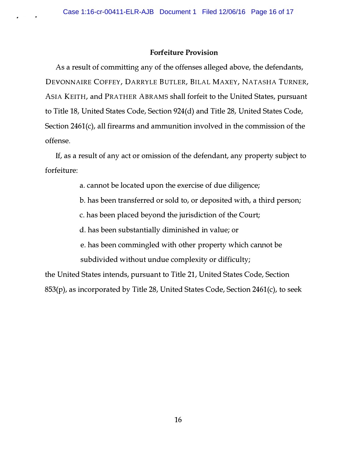## Forfeiture Provision

As a result of committing any of the offenses alleged above, the defendants, DEVONNAIRE COFFEY, DARRYLE BUTLER, BILAL MAXEY, NATASHA TURNER, ASIA KEITH, and PRATHER ABRAMS shall forfeit to the United States, pursuant to Title 18, United States Code, Section 924(d) and Title 28, United States Code, Section 2461(c), all firearms and ammunition involved in the commission of the offense.

If, as a result of any act or omission of the defendant, any property subject to forfeiture:

a. cannot be located upon the exercise of due diligence;

b. has been transferred or sold to, or deposited with, a third person;

c. has been placed beyond the jurisdiction of the Court;

d. has been substantially diminished in value; or

e. has been commingled with other property which cannot be subdivided without undue complexity or difficulty;

the United States intends, pursuant to Title 21, United States Code, Section 853(p), as incorporated by Title 28, United States Code, Section 2461(c), to seek